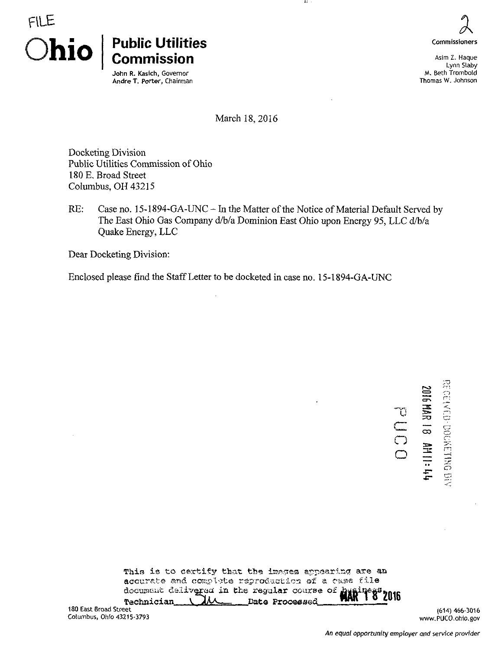

## Public Utilities Commission

John R. Kasich, Governor Andre T. Porter, Chairman Commissioners

Asim Z. Haque Lynn Slaby M. Beth Trombofd Thomas W. Johnson

March 18,2016

TT.

Docketing Division Public Utilities Commission of Ohio 180 E, Broad Street Columbus, OH 43215

RE: Case no. 15-1894-GA-UNC - In the Matter of the Notice of Material Default Served by The East Ohio Gas Company d/b/a Dominion East Ohio upon Energy 95, LLC d/b/a Quake Energy, LLC

Dear Docketing Division:

Enclosed please find the Staff Letter to be docketed in case no. 15-1894-GA-UNC

E UOO  $\infty$ —™ ECCENTO-00RETHS BN

 $\pm$ 

This is to certify that the images appearing are an accurate and complete reproduction of a case file Technician. document delivered in the regular course of ,Date Proceesed^ ViS <sup>2016</sup>

180 East Broad Street Columbus, Ohio 43215-3793

(614) 466-3016 [www.PUCO.ohio.gov](http://www.PUCO.ohio.gov)